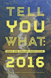#### **GREAT** NEW ZEALAND NONFICTION

10

 $\blacksquare$ 

E

T

Edited by Susanna Andrew & Jolisa Gracewood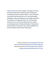**Tell you what:we've done it again. Our editors went out into New Zealand and rounded up a pile of blogs and travelogues, memoirs and journalism – some of the best true stories from the last year or so. We've got bullies and Barbie, chakra and shipwrecks, loose lips and AK47s. From Ōamaru to Xinjiang to New York, Tell You What introduces us to some extraordinary tales of coming out and going home, of living and dying, of tragedy and transformation. 'Marvellous', says John Campbell in his foreword. Read it and we know you'll agree.**

> **Susanna Andrew lives in Auckland, where she writes and thinks about books for Metro magazine. Jolisa Gracewood is a literary editor, book reviewer, cycling enthusiast and benefactor of trees.**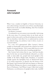## **Foreword: John Campbell**

When I was a student in English at Victoria University, we were asked, during a tutorial in one of those anaesthetisingly bland rooms in the von Zedlitz Building, what New Zealand culture consisted of.

An absence, it seemed.

I'm ashamed to say our answers were miserable. And wrong. In the years since, I've returned often (in my head, and on paper) to that room, and to our flaccid and ignorant sense that life was elsewhere. And when I try to understand my naivety, my cultural cringe, my pettiness, I put it down, in part, to received wisdom.

In a way, we'd appropriated Allen Curnow's famous couplet (so memorable, and so good) into a kind of tea-towel homily of national identity: 'Not I, some child, born in a marvellous year, / Will learn the trick of standing upright here.'

But Curnow had written that in 1943. And four decades later, by the time our tutorial fecklessly reheated it, as robotically as times-table rote, people had stood upright in the middle of the field at Rugby Park, Hamilton, or marched upright against the Springbok Tour on Molesworth Street, or on winter motorways, or directly into the batons of the Red Squad. And Norman Kirk had sent frigates to Mururoa. And Marilyn Waring was about to stand upright to cross the floor of Parliament. And Whina Cooper's hīkoi had reached Parliament, 1000 kilometres of upright in their wake. And Bill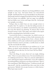#### **FOREWORD ix**

Manhire's sixth poetry collection was being published, words upright in new ways. And Janet Frame was miraculously upright. And Flying Nun was up and upright in op-shop pants. And people had been dragged from Bastion Point, flat upright. And our dissent was palpable. And our anger was palpable. And our bullies were vicious and larger than life. And people were upright, everywhere.

Perhaps what we didn't have yet were enough writers to decipher that? To explain it. To take the failing narrative of our uncertain infancy, our shallow-rooted identity, and assert the roots that dissent was planting. To observe that we had learned Curnow's trick. That anger, and a belief in the urgent need for something better, had made us stand.

I received this book as a manuscript. A4, which is never as good as a real book, evoking, as it does, bank statements, electricity bills, and those group letters from a distant relative whose children are all so spit-combed and exceptional that the annual Christmas missive provokes a terrible desire to climb into the oven beside the turkey.

But even in A4, it was fantastic in its stridency, its 'oi' confidence, its talent, and its pluralism. 'Hey Curnow! Hey, John Campbell and your shit-lazy Vic Uni Class! Tell You What!'

So, what?

That's the thing, of course, there isn't one single, defining 'what'. There is no prescribed us-ness. No tutorial delineation of a defining national voice. There are, instead, multitudinous voices. Defying prescription and formula. A true self-confidence, beyond hopefulness and latency, now deep in the bones. There is also something of Walt Whitman here: 'I celebrate myself, and sing myself', and the wonderful lines that come later in that great poem: 'Behold, I do not give lectures or a little charity, / When I give I give myself.'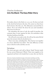## **Charles Anderson Into the Black: The Easy Rider Story**

He awakes alone in the black at 12.03 a.m. He does not look at the clock but he knows the time. He cannot see their faces but he knows who they are. The silhouettes surround him in silence. He is not afraid. He closes his eyes and remembers their story. It is his too.

He remembers the taste of salt, the smell of gasoline, the constant slap of water against his skin. He remembers what absolute loneliness feels like.

He will say he was ready to die. He will say his entire life led up to the moment when he decided not to.

There were nine, including him. They had set out together on a boat called the *Easy Rider*. The only difference in their story is that he is alive and they are not.

#### **The harbour**

The strait spat grey and cold as Rewai 'Spud' Karetai made his way across Fisherman's Wharf. There were supplies to be organised and bait to be loaded but to some who saw him he

This story is based on hundreds of pages of documents including court files, Transport Accident Investigation Commission reports and coroner's inquiries. Fairfax Media gained access to never before seen material including audio recordings made by the commission in the disaster's aftermath and logbooks from the search. The reporter spoke with key members of the search team including joining them on their vessel when they trained in the Foveaux Strait. He extensively interviewed the only survivor, Dallas Reedy, and family members of the victims. Scenes and dialogue not observed by the reporter were taken from information and direct recollections from these sources. First published in 2014 as an interactive on the Stuff website: stuff.co.nz/interactives/2014/into-the-black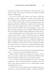seemed preoccupied. His fishing boat, the *Easy Rider*, was tied up along with dozens of others that bobbed on Bluff Harbour's ebbing tide.

It is one of the few safe inlets in the Foveaux Strait but entering it is still a challenge. Its waters move swiftly and its winds blow strong. There are rocks that lurk beneath the surface. When boats finally reach the passage between the mainland and Stewart Island they are often faced with bruised clouds and white-capped waves. This is Southland – the bottom of New Zealand where State Highway 1 peters out. But according to signage on the roadside, Bluff and its population 1824 people, really mark the 'beginning of the journey'.

Karetai had bought the *Easy Rider* only six months earlier and he was proud of it. Most of his life had been on fishing vessels. The sea was his playground, friends said. It was in his bones. He had spent thirty years as a deckhand, helping run ships around the southern edge of the country but the *Easy Rider* was different. He and his wife Gloria wanted to be their own bosses and to run their own commercial fishing operation. The *Easy Rider* would be the first boat Karetai would ever captain.

On 14 March 2012 Karetai spent the morning loading up stores – 2.1 tonnes of ice and 360 kilograms of bait.

Maritime New Zealand safety inspector Gary Levy was on his way to audit a nearby vessel at Fisherman's Wharf when, just after lunch, he stopped by to inspect the *Easy Rider*.

Levy was there to make sure Karetai's boat met 'safe ship compliance'. The *Easy Rider* had been privately owned for many years and for Karetai to use it commercially several standards had to be met.

It needed a lot of work. But the most essential element was someone in control who held a skipper's certificate. Without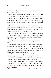it the 42-year-old, 11-metre boat would not be permitted to carry any passengers.

While it was Gloria's name on the ownership forms, Karetai had run the *Easy Rider* largely by himself. Several deckhands helped out occasionally but in six months Karetai had already gone through seven different men. He had a reputation for being hard to work for and not someone you could easily tell what to do.

He also had not completed his own skipper's certificate which required him to pass courses in, among other things, boat stability. So since purchasing the boat he had used his only qualification – a deckhand certificate.

Levy asked to see a full copy of the licences. Karetai started to look around the boat. Then he rang his wife and put her on speaker phone. Was his skipper's ticket in a cupboard, he asked. It wasn't, Gloria said.

Then Karetai told Levy he would need to go home to look for it.

Levy tried to complete the inspection but he thought the whole thing was 'turning into a farce'. The weather was closing in, the forecast was not looking good and from what Karetai was telling him Levy thought there was no chance of the *Easy Rider* leaving the harbour.

MetService warned of 35 knot winds. The seas would become rough for a time with a swell rising to 4 metres.

If Levy had known Karetai was thinking about leaving, he later told a court, he would have detained the vessel.

As Levy left, a truck driven by two of Karetai's relatives, Paul Karetai and Peter Bloxham, pulled into the port. It was carrying stores and materials including plywood and corrugated iron sheets.

Wood was craned up and lowered onto the *Easy Rider*.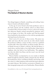## **Megan Dunn The Ballad of Western Barbie**

Two things happen in Huntly: something and nothing. Sometimes it's hard to tell which is which.

At the age of seven I lived in the brick presbytery next to the brick church and the Catholic school on Main Street. I watched Olivia Newton John in *Grease* at the local cinema, but otherwise Huntly seemed untouched by glamour and I was not happy to be there. My mother and I had decamped from Auckland to the presbytery to live with my grandparents, who kept house for the priest.

Don't worry. It's not one of those stories. The priest was polite and sweet, like the scones he ate after church. Inside the presbytery hallway a statue of Mary stood on a polished wooden table. Mary had cold feet. So did my mother. We were in Huntly because of Mum's cold feet. She had left Bruce, a truck driver, and the father of my half-brother. Mum had an epiphany after the birth of my half-brother. The epiphany was that she didn't love Bruce and she wasn't sure she loved my brother either.

Western Barbie accompanied us on our exodus to Huntly. Barbie brought her palomino, Dallas, along for the ride. We had left Auckland in a hurry and Western Barbie only had the outfit she came in: a white jumpsuit with tassels that upon reflection was quite Liberace. She took her accessories to Huntly too, a blue autograph stamp and a set of hairbrushes. Western Barbie

First published on 7 July 2014 in *The Pantograph Punch*: pantograph-punch.com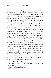**184 MEGAN DUNN**

had a lever on her back. If I pushed it down, she'd wink. I like to think that because Barbie was a cowgirl she was in a better position to deal with Huntly. We attended Catholic school together as Barbie and I were close friends and she'd never leave a girl in a crisis. Only for a man and a good time.

At the presbytery, Mum and I slept in single beds in an open-plan bedroom next door to my grandparents. In the evenings, Western Barbie took long baths in her doll-sized turquoise tub and flushed her pink doll-sized loo. Dallas grazed on a patch of wild floral carpet. Barbie had loved and left a man too. When we lived with Bruce, Barbie had been seeing Action Man. Barbie and Action Man had known one another's bodies in the nude, but their plastic arms and legs weren't built right for cuddling. Sex was accompanied by the cold disjointed sound of clacking. Once they rode around Bruce's house in Action Man's tank. Later, they would drink doll-sized glasses of wine. Maybe they talked of war, but I doubt it. Action Man, like Bruce, kept to himself.

We were only in Huntly for six months, but I remember that time as having the long drawn-out qualities of a soap opera. Not so much as a tumbleweed ambled along Main Street. Huntly seemed inhabited by the second-hand clothes mannequins in the window of the Salvation Army store. One pub. One cinema: Olivia Newton John's wholesome smile on the fading poster by the door. At least church every Sunday was a social occasion. I slotted the autograph stamp on to Barbie's hand, just in case she met any of her fans.

'This is the body of Christ.'

I opened my mouth and the priest placed a pale wafer on my tongue.

The body of Christ dissolved.

'What does it taste like?' Barbie asked.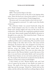'Nothing,' I said.

'Shhh.' Nana put her finger to her lips.

The priest moved in front of the altar in his lapping white robes. Above his head was a brass Jesus nailed to a cross and above Jesus was a round window. Clouds chugged past.

The priest said, 'Let us give thanks to the Lord our God.'

The congregation answered, 'It is right to give him thanks and praise.'

The collection basket was passed backwards along the pews. People dropped coins into its wicker rim. Inside the basket spare change jingled and rang out like notes from a tambourine. After church, the congregation gathered outside on the steps. Many people stopped and talked to the priest as though he was a pop star. They shook his hand. 'Thank you for the sermon today, Father.'

On Sunday afternoons, Mum took long walks. Barbie saddled up Dallas and we trailed along. We crossed the rusted railway bridge to the other side of town. The trains seemed infrequent, the business they were designed to do long overtaken. 'Whoa!' Barbie pulled on Dallas's reins. We stopped mid-way across the bridge. Mum stared down at the slow-moving Waikato River. The water was silver where the light struck it, like Western Barbie's tassels. But most of the time it was just brown and murky. Barbie and I surveyed the Huntly Power Station; its two red turrets poked up into the sky. The steeple of the church also reached into the sky. But the chimneys of the power station reached higher.

'I don't believe in God,' Western Barbie said, and I had a lot of respect for her point of view. Barbie was made in a factory. The small of her back was embossed with a copyright logo and the message: 'Mattel Inc.' Barbie had met her maker, and she told me there had been nothing religious about